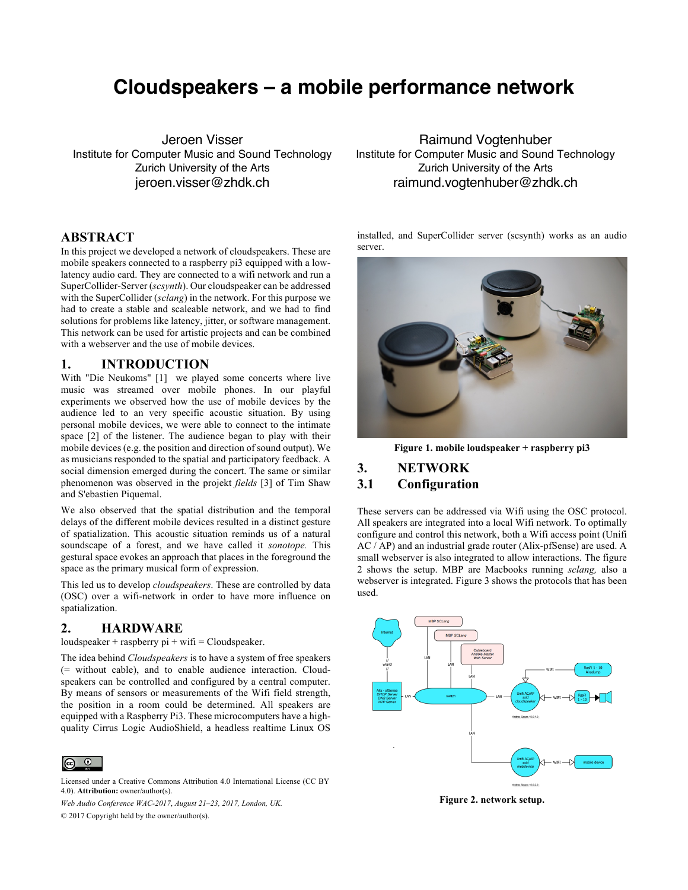# **Cloudspeakers – a mobile performance network**

Jeroen Visser Institute for Computer Music and Sound Technology Zurich University of the Arts jeroen.visser@zhdk.ch

## **ABSTRACT**

In this project we developed a network of cloudspeakers. These are mobile speakers connected to a raspberry pi3 equipped with a lowlatency audio card. They are connected to a wifi network and run a SuperCollider-Server (*scsynth*). Our cloudspeaker can be addressed with the SuperCollider (*sclang*) in the network. For this purpose we had to create a stable and scaleable network, and we had to find solutions for problems like latency, jitter, or software management. This network can be used for artistic projects and can be combined with a webserver and the use of mobile devices.

# **1. INTRODUCTION**

With "Die Neukoms" [1] we played some concerts where live music was streamed over mobile phones. In our playful experiments we observed how the use of mobile devices by the audience led to an very specific acoustic situation. By using personal mobile devices, we were able to connect to the intimate space [2] of the listener. The audience began to play with their mobile devices (e.g. the position and direction of sound output). We as musicians responded to the spatial and participatory feedback. A social dimension emerged during the concert. The same or similar phenomenon was observed in the projekt *fields* [3] of Tim Shaw and S'ebastien Piquemal.

We also observed that the spatial distribution and the temporal delays of the different mobile devices resulted in a distinct gesture of spatialization. This acoustic situation reminds us of a natural soundscape of a forest, and we have called it *sonotope.* This gestural space evokes an approach that places in the foreground the space as the primary musical form of expression.

This led us to develop *cloudspeakers*. These are controlled by data (OSC) over a wifi-network in order to have more influence on spatialization.

## **2. HARDWARE**

loudspeaker + raspberry  $pi + w$ ifi = Cloudspeaker.

The idea behind *Cloudspeakers* is to have a system of free speakers (= without cable), and to enable audience interaction. Cloudspeakers can be controlled and configured by a central computer. By means of sensors or measurements of the Wifi field strength, the position in a room could be determined. All speakers are equipped with a Raspberry Pi3. These microcomputers have a highquality Cirrus Logic AudioShield, a headless realtime Linux OS



Licensed under a Creative Commons Attribution 4.0 International License (CC BY 4.0). **Attribution:** owner/author(s).

*Web Audio Conference WAC-2017*, *August 21–23, 2017, London, UK.*

© 2017 Copyright held by the owner/author(s).

Raimund Vogtenhuber Institute for Computer Music and Sound Technology Zurich University of the Arts raimund.vogtenhuber@zhdk.ch

installed, and SuperCollider server (scsynth) works as an audio server.



**Figure 1. mobile loudspeaker + raspberry pi3**

#### **3. NETWORK**

#### **3.1 Configuration**

These servers can be addressed via Wifi using the OSC protocol. All speakers are integrated into a local Wifi network. To optimally configure and control this network, both a Wifi access point (Unifi AC / AP) and an industrial grade router (Alix-pfSense) are used. A small webserver is also integrated to allow interactions. The figure 2 shows the setup. MBP are Macbooks running *sclang,* also a webserver is integrated. Figure 3 shows the protocols that has been used.



**Figure 2. network setup.**